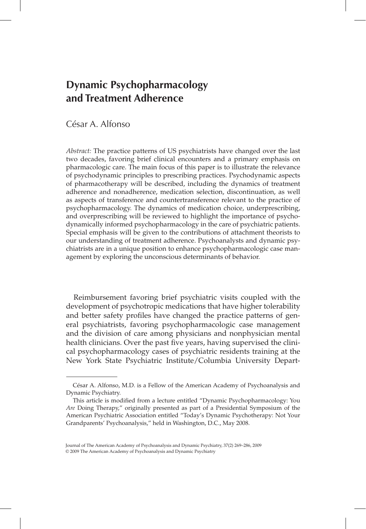# **Dynamic Psychopharmacology and Treatment Adherence**

## César A. Alfonso

*Abstract:* The practice patterns of US psychiatrists have changed over the last two decades, favoring brief clinical encounters and a primary emphasis on pharmacologic care. The main focus of this paper is to illustrate the relevance of psychodynamic principles to prescribing practices. Psychodynamic aspects of pharmacotherapy will be described, including the dynamics of treatment adherence and nonadherence, medication selection, discontinuation, as well as aspects of transference and countertransference relevant to the practice of psychopharmacology. The dynamics of medication choice, underprescribing, and overprescribing will be reviewed to highlight the importance of psychodynamically informed psychopharmacology in the care of psychiatric patients. Special emphasis will be given to the contributions of attachment theorists to our understanding of treatment adherence. Psychoanalysts and dynamic psychiatrists are in a unique position to enhance psychopharmacologic case management by exploring the unconscious determinants of behavior.

Reimbursement favoring brief psychiatric visits coupled with the development of psychotropic medications that have higher tolerability and better safety profiles have changed the practice patterns of general psychiatrists, favoring psychopharmacologic case management and the division of care among physicians and nonphysician mental health clinicians. Over the past five years, having supervised the clinical psychopharmacology cases of psychiatric residents training at the New York State Psychiatric Institute/Columbia University Depart-

César A. Alfonso, M.D. is a Fellow of the American Academy of Psychoanalysis and Dynamic Psychiatry.

This article is modified from a lecture entitled "Dynamic Psychopharmacology: You *Are* Doing Therapy," originally presented as part of a Presidential Symposium of the American Psychiatric Association entitled "Today's Dynamic Psychotherapy: Not Your Grandparents' Psychoanalysis," held in Washington, D.C., May 2008.

Journal of The American Academy of Psychoanalysis and Dynamic Psychiatry, 37(2) 269–286, 2009 © 2009 The American Academy of Psychoanalysis and Dynamic Psychiatry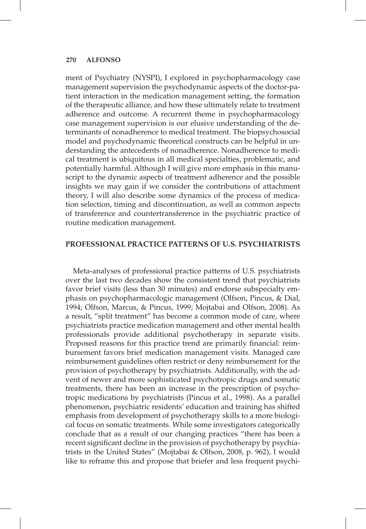ment of Psychiatry (NYSPI), I explored in psychopharmacology case management supervision the psychodynamic aspects of the doctor-patient interaction in the medication management setting, the formation of the therapeutic alliance, and how these ultimately relate to treatment adherence and outcome. A recurrent theme in psychopharmacology case management supervision is our elusive understanding of the determinants of nonadherence to medical treatment. The biopsychosocial model and psychodynamic theoretical constructs can be helpful in understanding the antecedents of nonadherence. Nonadherence to medical treatment is ubiquitous in all medical specialties, problematic, and potentially harmful. Although I will give more emphasis in this manuscript to the dynamic aspects of treatment adherence and the possible insights we may gain if we consider the contributions of attachment theory, I will also describe some dynamics of the process of medication selection, timing and discontinuation, as well as common aspects of transference and countertransference in the psychiatric practice of routine medication management.

#### **Professional Practice Patterns of U.S. Psychiatrists**

Meta-analyses of professional practice patterns of U.S. psychiatrists over the last two decades show the consistent trend that psychiatrists favor brief visits (less than 30 minutes) and endorse subspecialty emphasis on psychopharmacologic management (Olfson, Pincus, & Dial, 1994; Olfson, Marcus, & Pincus, 1999; Mojtabai and Olfson, 2008). As a result, "split treatment" has become a common mode of care, where psychiatrists practice medication management and other mental health professionals provide additional psychotherapy in separate visits. Proposed reasons for this practice trend are primarily financial: reimbursement favors brief medication management visits. Managed care reimbursement guidelines often restrict or deny reimbursement for the provision of psychotherapy by psychiatrists. Additionally, with the advent of newer and more sophisticated psychotropic drugs and somatic treatments, there has been an increase in the prescription of psychotropic medications by psychiatrists (Pincus et al., 1998). As a parallel phenomenon, psychiatric residents' education and training has shifted emphasis from development of psychotherapy skills to a more biological focus on somatic treatments. While some investigators categorically conclude that as a result of our changing practices "there has been a recent significant decline in the provision of psychotherapy by psychiatrists in the United States" (Mojtabai & Olfson, 2008, p. 962), I would like to reframe this and propose that briefer and less frequent psychi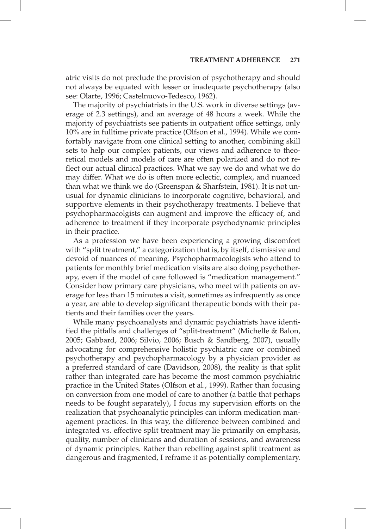atric visits do not preclude the provision of psychotherapy and should not always be equated with lesser or inadequate psychotherapy (also see: Olarte, 1996; Castelnuovo-Tedesco, 1962).

The majority of psychiatrists in the U.S. work in diverse settings (average of 2.3 settings), and an average of 48 hours a week. While the majority of psychiatrists see patients in outpatient office settings, only 10% are in fulltime private practice (Olfson et al., 1994). While we comfortably navigate from one clinical setting to another, combining skill sets to help our complex patients, our views and adherence to theoretical models and models of care are often polarized and do not reflect our actual clinical practices. What we say we do and what we do may differ. What we do is often more eclectic, complex, and nuanced than what we think we do (Greenspan & Sharfstein, 1981). It is not unusual for dynamic clinicians to incorporate cognitive, behavioral, and supportive elements in their psychotherapy treatments. I believe that psychopharmacolgists can augment and improve the efficacy of, and adherence to treatment if they incorporate psychodynamic principles in their practice.

As a profession we have been experiencing a growing discomfort with "split treatment," a categorization that is, by itself, dismissive and devoid of nuances of meaning. Psychopharmacologists who attend to patients for monthly brief medication visits are also doing psychotherapy, even if the model of care followed is "medication management." Consider how primary care physicians, who meet with patients on average for less than 15 minutes a visit, sometimes as infrequently as once a year, are able to develop significant therapeutic bonds with their patients and their families over the years.

While many psychoanalysts and dynamic psychiatrists have identified the pitfalls and challenges of "split-treatment" (Michelle & Balon, 2005; Gabbard, 2006; Silvio, 2006; Busch & Sandberg, 2007), usually advocating for comprehensive holistic psychiatric care or combined psychotherapy and psychopharmacology by a physician provider as a preferred standard of care (Davidson, 2008), the reality is that split rather than integrated care has become the most common psychiatric practice in the United States (Olfson et al., 1999). Rather than focusing on conversion from one model of care to another (a battle that perhaps needs to be fought separately), I focus my supervision efforts on the realization that psychoanalytic principles can inform medication management practices. In this way, the difference between combined and integrated vs. effective split treatment may lie primarily on emphasis, quality, number of clinicians and duration of sessions, and awareness of dynamic principles. Rather than rebelling against split treatment as dangerous and fragmented, I reframe it as potentially complementary.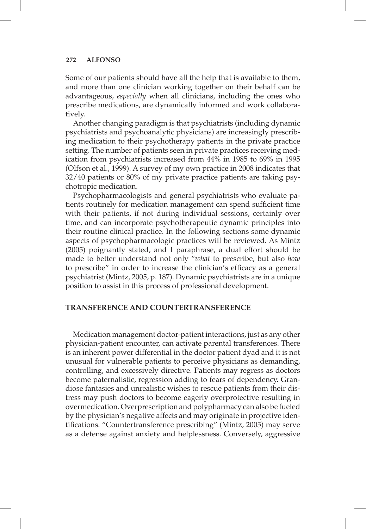Some of our patients should have all the help that is available to them, and more than one clinician working together on their behalf can be advantageous, *especially* when all clinicians, including the ones who prescribe medications, are dynamically informed and work collaboratively.

Another changing paradigm is that psychiatrists (including dynamic psychiatrists and psychoanalytic physicians) are increasingly prescribing medication to their psychotherapy patients in the private practice setting. The number of patients seen in private practices receiving medication from psychiatrists increased from 44% in 1985 to 69% in 1995 (Olfson et al., 1999). A survey of my own practice in 2008 indicates that 32/40 patients or 80% of my private practice patients are taking psychotropic medication.

Psychopharmacologists and general psychiatrists who evaluate patients routinely for medication management can spend sufficient time with their patients, if not during individual sessions, certainly over time, and can incorporate psychotherapeutic dynamic principles into their routine clinical practice. In the following sections some dynamic aspects of psychopharmacologic practices will be reviewed. As Mintz (2005) poignantly stated, and I paraphrase, a dual effort should be made to better understand not only "*what* to prescribe, but also *how* to prescribe" in order to increase the clinician's efficacy as a general psychiatrist (Mintz, 2005, p. 187). Dynamic psychiatrists are in a unique position to assist in this process of professional development.

## **Transference and Countertransference**

Medication management doctor-patient interactions, just as any other physician-patient encounter, can activate parental transferences. There is an inherent power differential in the doctor patient dyad and it is not unusual for vulnerable patients to perceive physicians as demanding, controlling, and excessively directive. Patients may regress as doctors become paternalistic, regression adding to fears of dependency. Grandiose fantasies and unrealistic wishes to rescue patients from their distress may push doctors to become eagerly overprotective resulting in overmedication. Overprescription and polypharmacy can also be fueled by the physician's negative affects and may originate in projective identifications. "Countertransference prescribing" (Mintz, 2005) may serve as a defense against anxiety and helplessness. Conversely, aggressive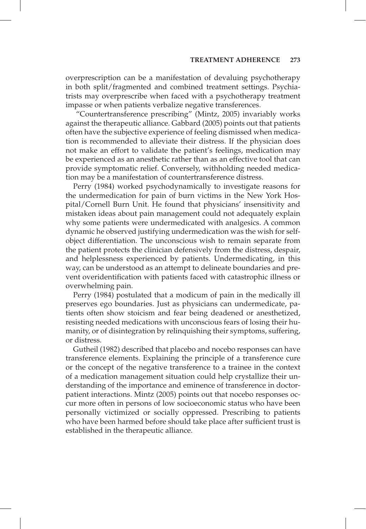overprescription can be a manifestation of devaluing psychotherapy in both split/fragmented and combined treatment settings. Psychiatrists may overprescribe when faced with a psychotherapy treatment impasse or when patients verbalize negative transferences.

 "Countertransference prescribing" (Mintz, 2005) invariably works against the therapeutic alliance. Gabbard (2005) points out that patients often have the subjective experience of feeling dismissed when medication is recommended to alleviate their distress. If the physician does not make an effort to validate the patient's feelings, medication may be experienced as an anesthetic rather than as an effective tool that can provide symptomatic relief. Conversely, withholding needed medication may be a manifestation of countertransference distress.

Perry (1984) worked psychodynamically to investigate reasons for the undermedication for pain of burn victims in the New York Hospital/Cornell Burn Unit. He found that physicians' insensitivity and mistaken ideas about pain management could not adequately explain why some patients were undermedicated with analgesics. A common dynamic he observed justifying undermedication was the wish for selfobject differentiation. The unconscious wish to remain separate from the patient protects the clinician defensively from the distress, despair, and helplessness experienced by patients. Undermedicating, in this way, can be understood as an attempt to delineate boundaries and prevent overidentification with patients faced with catastrophic illness or overwhelming pain.

Perry (1984) postulated that a modicum of pain in the medically ill preserves ego boundaries. Just as physicians can undermedicate, patients often show stoicism and fear being deadened or anesthetized, resisting needed medications with unconscious fears of losing their humanity, or of disintegration by relinquishing their symptoms, suffering, or distress.

Gutheil (1982) described that placebo and nocebo responses can have transference elements. Explaining the principle of a transference cure or the concept of the negative transference to a trainee in the context of a medication management situation could help crystallize their understanding of the importance and eminence of transference in doctorpatient interactions. Mintz (2005) points out that nocebo responses occur more often in persons of low socioeconomic status who have been personally victimized or socially oppressed. Prescribing to patients who have been harmed before should take place after sufficient trust is established in the therapeutic alliance.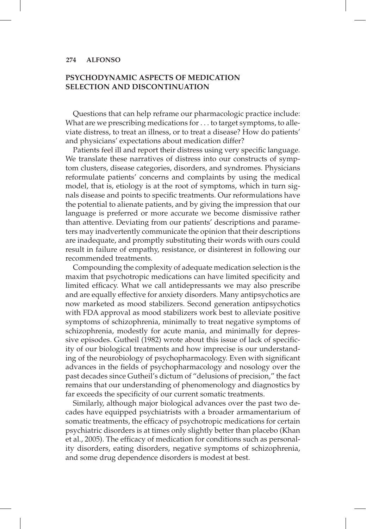## **Psychodynamic Aspects of Medication Selection and Discontinuation**

Questions that can help reframe our pharmacologic practice include: What are we prescribing medications for . . . to target symptoms, to alleviate distress, to treat an illness, or to treat a disease? How do patients' and physicians' expectations about medication differ?

Patients feel ill and report their distress using very specific language. We translate these narratives of distress into our constructs of symptom clusters, disease categories, disorders, and syndromes. Physicians reformulate patients' concerns and complaints by using the medical model, that is, etiology is at the root of symptoms, which in turn signals disease and points to specific treatments. Our reformulations have the potential to alienate patients, and by giving the impression that our language is preferred or more accurate we become dismissive rather than attentive. Deviating from our patients' descriptions and parameters may inadvertently communicate the opinion that their descriptions are inadequate, and promptly substituting their words with ours could result in failure of empathy, resistance, or disinterest in following our recommended treatments.

Compounding the complexity of adequate medication selection is the maxim that psychotropic medications can have limited specificity and limited efficacy. What we call antidepressants we may also prescribe and are equally effective for anxiety disorders. Many antipsychotics are now marketed as mood stabilizers. Second generation antipsychotics with FDA approval as mood stabilizers work best to alleviate positive symptoms of schizophrenia, minimally to treat negative symptoms of schizophrenia, modestly for acute mania, and minimally for depressive episodes. Gutheil (1982) wrote about this issue of lack of specificity of our biological treatments and how imprecise is our understanding of the neurobiology of psychopharmacology. Even with significant advances in the fields of psychopharmacology and nosology over the past decades since Gutheil's dictum of "delusions of precision," the fact remains that our understanding of phenomenology and diagnostics by far exceeds the specificity of our current somatic treatments.

Similarly, although major biological advances over the past two decades have equipped psychiatrists with a broader armamentarium of somatic treatments, the efficacy of psychotropic medications for certain psychiatric disorders is at times only slightly better than placebo (Khan et al., 2005). The efficacy of medication for conditions such as personality disorders, eating disorders, negative symptoms of schizophrenia, and some drug dependence disorders is modest at best.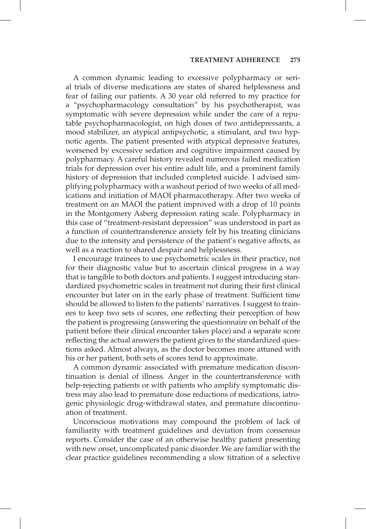A common dynamic leading to excessive polypharmacy or serial trials of diverse medications are states of shared helplessness and fear of failing our patients. A 30 year old referred to my practice for a "psychopharmacology consultation" by his psychotherapist, was symptomatic with severe depression while under the care of a reputable psychopharmacologist, on high doses of two antidepressants, a mood stabilizer, an atypical antipsychotic, a stimulant, and two hypnotic agents. The patient presented with atypical depressive features, worsened by excessive sedation and cognitive impairment caused by polypharmacy. A careful history revealed numerous failed medication trials for depression over his entire adult life, and a prominent family history of depression that included completed suicide. I advised simplifying polypharmacy with a washout period of two weeks of all medications and initiation of MAOI pharmacotherapy. After two weeks of treatment on an MAOI the patient improved with a drop of 10 points in the Montgomery Asberg depression rating scale. Polypharmacy in this case of "treatment-resistant depression" was understood in part as a function of countertransference anxiety felt by his treating clinicians due to the intensity and persistence of the patient's negative affects, as well as a reaction to shared despair and helplessness.

I encourage trainees to use psychometric scales in their practice, not for their diagnostic value but to ascertain clinical progress in a way that is tangible to both doctors and patients. I suggest introducing standardized psychometric scales in treatment not during their first clinical encounter but later on in the early phase of treatment. Sufficient time should be allowed to listen to the patients' narratives. I suggest to trainees to keep two sets of scores, one reflecting their perception of how the patient is progressing (answering the questionnaire on behalf of the patient before their clinical encounter takes place) and a separate score reflecting the actual answers the patient gives to the standardized questions asked. Almost always, as the doctor becomes more attuned with his or her patient, both sets of scores tend to approximate.

A common dynamic associated with premature medication discontinuation is denial of illness. Anger in the countertransference with help-rejecting patients or with patients who amplify symptomatic distress may also lead to premature dose reductions of medications, iatrogenic physiologic drug-withdrawal states, and premature discontinuation of treatment.

Unconscious motivations may compound the problem of lack of familiarity with treatment guidelines and deviation from consensus reports. Consider the case of an otherwise healthy patient presenting with new onset, uncomplicated panic disorder. We are familiar with the clear practice guidelines recommending a slow titration of a selective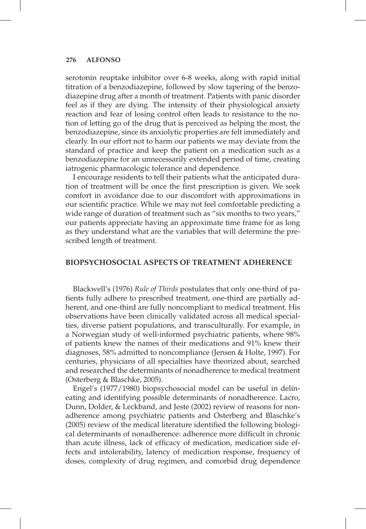serotonin reuptake inhibitor over 6-8 weeks, along with rapid initial titration of a benzodiazepine, followed by slow tapering of the benzodiazepine drug after a month of treatment. Patients with panic disorder feel as if they are dying. The intensity of their physiological anxiety reaction and fear of losing control often leads to resistance to the notion of letting go of the drug that is perceived as helping the most, the benzodiazepine, since its anxiolytic properties are felt immediately and clearly. In our effort not to harm our patients we may deviate from the standard of practice and keep the patient on a medication such as a benzodiazepine for an unnecessarily extended period of time, creating iatrogenic pharmacologic tolerance and dependence.

I encourage residents to tell their patients what the anticipated duration of treatment will be once the first prescription is given. We seek comfort in avoidance due to our discomfort with approximations in our scientific practice. While we may not feel comfortable predicting a wide range of duration of treatment such as "six months to two years," our patients appreciate having an approximate time frame for as long as they understand what are the variables that will determine the prescribed length of treatment.

#### **Biopsychosocial Aspects of Treatment Adherence**

Blackwell's (1976) *Rule of Thirds* postulates that only one-third of patients fully adhere to prescribed treatment, one-third are partially adherent, and one-third are fully noncompliant to medical treatment. His observations have been clinically validated across all medical specialties, diverse patient populations, and transculturally. For example, in a Norwegian study of well-informed psychiatric patients, where 98% of patients knew the names of their medications and 91% knew their diagnoses, 58% admitted to noncompliance (Jensen & Holte, 1997). For centuries, physicians of all specialties have theorized about, searched and researched the determinants of nonadherence to medical treatment (Osterberg & Blaschke, 2005).

Engel's (1977/1980) biopsychosocial model can be useful in delineating and identifying possible determinants of nonadherence. Lacro, Dunn, Dolder, & Leckband, and Jeste (2002) review of reasons for nonadherence among psychiatric patients and Osterberg and Blaschke's (2005) review of the medical literature identified the following biological determinants of nonadherence: adherence more difficult in chronic than acute illness, lack of efficacy of medication, medication side effects and intolerability, latency of medication response, frequency of doses, complexity of drug regimen, and comorbid drug dependence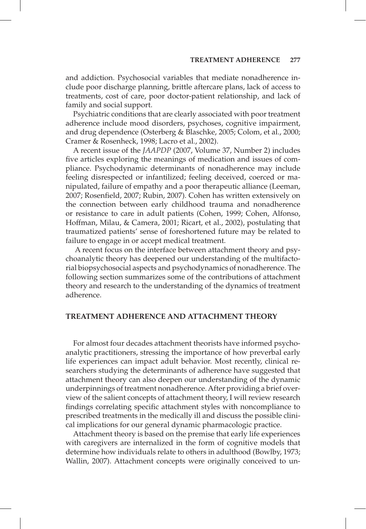and addiction. Psychosocial variables that mediate nonadherence include poor discharge planning, brittle aftercare plans, lack of access to treatments, cost of care, poor doctor-patient relationship, and lack of family and social support.

Psychiatric conditions that are clearly associated with poor treatment adherence include mood disorders, psychoses, cognitive impairment, and drug dependence (Osterberg & Blaschke, 2005; Colom, et al., 2000; Cramer & Rosenheck, 1998; Lacro et al., 2002).

A recent issue of the *JAAPDP* (2007, Volume 37, Number 2) includes five articles exploring the meanings of medication and issues of compliance. Psychodynamic determinants of nonadherence may include feeling disrespected or infantilized; feeling deceived, coerced or manipulated, failure of empathy and a poor therapeutic alliance (Leeman, 2007; Rosenfield, 2007; Rubin, 2007). Cohen has written extensively on the connection between early childhood trauma and nonadherence or resistance to care in adult patients (Cohen, 1999; Cohen, Alfonso, Hoffman, Milau, & Camera, 2001; Ricart, et al., 2002), postulating that traumatized patients' sense of foreshortened future may be related to failure to engage in or accept medical treatment.

 A recent focus on the interface between attachment theory and psychoanalytic theory has deepened our understanding of the multifactorial biopsychosocial aspects and psychodynamics of nonadherence. The following section summarizes some of the contributions of attachment theory and research to the understanding of the dynamics of treatment adherence.

#### **Treatment Adherence and Attachment Theory**

For almost four decades attachment theorists have informed psychoanalytic practitioners, stressing the importance of how preverbal early life experiences can impact adult behavior. Most recently, clinical researchers studying the determinants of adherence have suggested that attachment theory can also deepen our understanding of the dynamic underpinnings of treatment nonadherence. After providing a brief overview of the salient concepts of attachment theory, I will review research findings correlating specific attachment styles with noncompliance to prescribed treatments in the medically ill and discuss the possible clinical implications for our general dynamic pharmacologic practice.

Attachment theory is based on the premise that early life experiences with caregivers are internalized in the form of cognitive models that determine how individuals relate to others in adulthood (Bowlby, 1973; Wallin, 2007). Attachment concepts were originally conceived to un-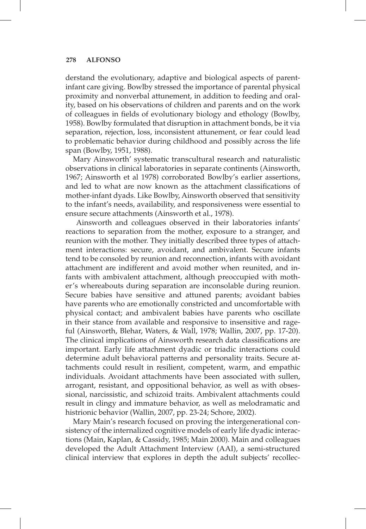derstand the evolutionary, adaptive and biological aspects of parentinfant care giving. Bowlby stressed the importance of parental physical proximity and nonverbal attunement, in addition to feeding and orality, based on his observations of children and parents and on the work of colleagues in fields of evolutionary biology and ethology (Bowlby, 1958). Bowlby formulated that disruption in attachment bonds, be it via separation, rejection, loss, inconsistent attunement, or fear could lead to problematic behavior during childhood and possibly across the life span (Bowlby, 1951, 1988).

Mary Ainsworth' systematic transcultural research and naturalistic observations in clinical laboratories in separate continents (Ainsworth, 1967; Ainsworth et al 1978) corroborated Bowlby's earlier assertions, and led to what are now known as the attachment classifications of mother-infant dyads. Like Bowlby, Ainsworth observed that sensitivity to the infant's needs, availability, and responsiveness were essential to ensure secure attachments (Ainsworth et al., 1978).

 Ainsworth and colleagues observed in their laboratories infants' reactions to separation from the mother, exposure to a stranger, and reunion with the mother. They initially described three types of attachment interactions: secure, avoidant, and ambivalent. Secure infants tend to be consoled by reunion and reconnection, infants with avoidant attachment are indifferent and avoid mother when reunited, and infants with ambivalent attachment, although preoccupied with mother's whereabouts during separation are inconsolable during reunion. Secure babies have sensitive and attuned parents; avoidant babies have parents who are emotionally constricted and uncomfortable with physical contact; and ambivalent babies have parents who oscillate in their stance from available and responsive to insensitive and rageful (Ainsworth, Blehar, Waters, & Wall, 1978; Wallin, 2007, pp. 17-20). The clinical implications of Ainsworth research data classifications are important. Early life attachment dyadic or triadic interactions could determine adult behavioral patterns and personality traits. Secure attachments could result in resilient, competent, warm, and empathic individuals. Avoidant attachments have been associated with sullen, arrogant, resistant, and oppositional behavior, as well as with obsessional, narcissistic, and schizoid traits. Ambivalent attachments could result in clingy and immature behavior, as well as melodramatic and histrionic behavior (Wallin, 2007, pp. 23-24; Schore, 2002).

Mary Main's research focused on proving the intergenerational consistency of the internalized cognitive models of early life dyadic interactions (Main, Kaplan, & Cassidy, 1985; Main 2000). Main and colleagues developed the Adult Attachment Interview (AAI), a semi-structured clinical interview that explores in depth the adult subjects' recollec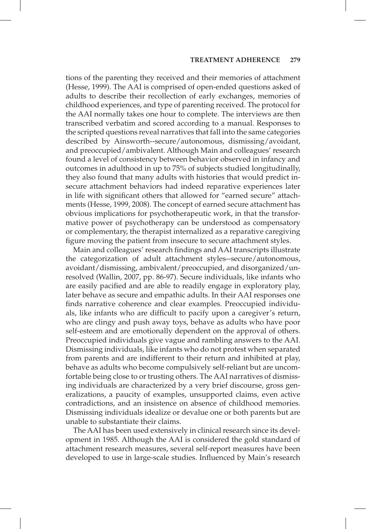tions of the parenting they received and their memories of attachment (Hesse, 1999). The AAI is comprised of open-ended questions asked of adults to describe their recollection of early exchanges, memories of childhood experiences, and type of parenting received. The protocol for the AAI normally takes one hour to complete. The interviews are then transcribed verbatim and scored according to a manual. Responses to the scripted questions reveal narratives that fall into the same categories described by Ainsworth--secure/autonomous, dismissing/avoidant, and preoccupied/ambivalent. Although Main and colleagues' research found a level of consistency between behavior observed in infancy and outcomes in adulthood in up to 75% of subjects studied longitudinally, they also found that many adults with histories that would predict insecure attachment behaviors had indeed reparative experiences later in life with significant others that allowed for "earned secure" attachments (Hesse, 1999, 2008). The concept of earned secure attachment has obvious implications for psychotherapeutic work, in that the transformative power of psychotherapy can be understood as compensatory or complementary, the therapist internalized as a reparative caregiving figure moving the patient from insecure to secure attachment styles.

Main and colleagues' research findings and AAI transcripts illustrate the categorization of adult attachment styles--secure/autonomous, avoidant/dismissing, ambivalent/preoccupied, and disorganized/unresolved (Wallin, 2007, pp. 86-97). Secure individuals, like infants who are easily pacified and are able to readily engage in exploratory play, later behave as secure and empathic adults. In their AAI responses one finds narrative coherence and clear examples. Preoccupied individuals, like infants who are difficult to pacify upon a caregiver's return, who are clingy and push away toys, behave as adults who have poor self-esteem and are emotionally dependent on the approval of others. Preoccupied individuals give vague and rambling answers to the AAI. Dismissing individuals, like infants who do not protest when separated from parents and are indifferent to their return and inhibited at play, behave as adults who become compulsively self-reliant but are uncomfortable being close to or trusting others. The AAI narratives of dismissing individuals are characterized by a very brief discourse, gross generalizations, a paucity of examples, unsupported claims, even active contradictions, and an insistence on absence of childhood memories. Dismissing individuals idealize or devalue one or both parents but are unable to substantiate their claims.

The AAI has been used extensively in clinical research since its development in 1985. Although the AAI is considered the gold standard of attachment research measures, several self-report measures have been developed to use in large-scale studies. Influenced by Main's research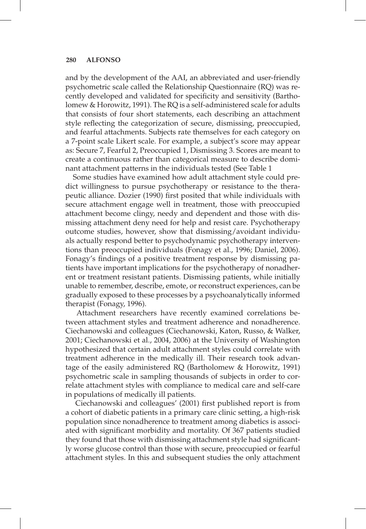and by the development of the AAI, an abbreviated and user-friendly psychometric scale called the Relationship Questionnaire (RQ) was recently developed and validated for specificity and sensitivity (Bartholomew & Horowitz, 1991). The RQ is a self-administered scale for adults that consists of four short statements, each describing an attachment style reflecting the categorization of secure, dismissing, preoccupied, and fearful attachments. Subjects rate themselves for each category on a 7-point scale Likert scale. For example, a subject's score may appear as: Secure 7, Fearful 2, Preoccupied 1, Dismissing 3. Scores are meant to create a continuous rather than categorical measure to describe dominant attachment patterns in the individuals tested (See Table 1

Some studies have examined how adult attachment style could predict willingness to pursue psychotherapy or resistance to the therapeutic alliance. Dozier (1990) first posited that while individuals with secure attachment engage well in treatment, those with preoccupied attachment become clingy, needy and dependent and those with dismissing attachment deny need for help and resist care. Psychotherapy outcome studies, however, show that dismissing/avoidant individuals actually respond better to psychodynamic psychotherapy interventions than preoccupied individuals (Fonagy et al., 1996; Daniel, 2006). Fonagy's findings of a positive treatment response by dismissing patients have important implications for the psychotherapy of nonadherent or treatment resistant patients. Dismissing patients, while initially unable to remember, describe, emote, or reconstruct experiences, can be gradually exposed to these processes by a psychoanalytically informed therapist (Fonagy, 1996).

 Attachment researchers have recently examined correlations between attachment styles and treatment adherence and nonadherence. Ciechanowski and colleagues (Ciechanowski, Katon, Russo, & Walker, 2001; Ciechanowski et al., 2004, 2006) at the University of Washington hypothesized that certain adult attachment styles could correlate with treatment adherence in the medically ill. Their research took advantage of the easily administered RQ (Bartholomew & Horowitz, 1991) psychometric scale in sampling thousands of subjects in order to correlate attachment styles with compliance to medical care and self-care in populations of medically ill patients.

 Ciechanowski and colleagues' (2001) first published report is from a cohort of diabetic patients in a primary care clinic setting, a high-risk population since nonadherence to treatment among diabetics is associated with significant morbidity and mortality. Of 367 patients studied they found that those with dismissing attachment style had significantly worse glucose control than those with secure, preoccupied or fearful attachment styles. In this and subsequent studies the only attachment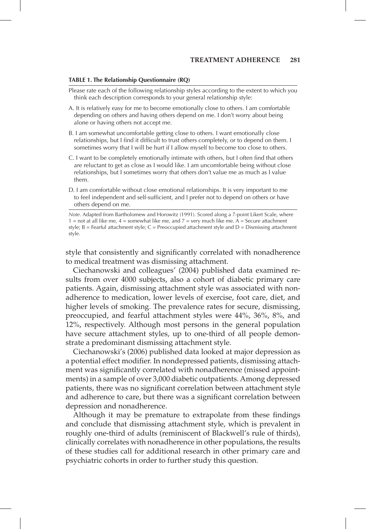#### **TABLE 1. The Relationship Questionnaire (RQ)**

- Please rate each of the following relationship styles according to the extent to which you think each description corresponds to your general relationship style:
- A. It is relatively easy for me to become emotionally close to others. I am comfortable depending on others and having others depend on me. I don't worry about being alone or having others not accept me.
- B. I am somewhat uncomfortable getting close to others. I want emotionally close relationships, but I find it difficult to trust others completely, or to depend on them. I sometimes worry that I will be hurt if I allow myself to become too close to others.
- C. I want to be completely emotionally intimate with others, but I often find that others are reluctant to get as close as I would like. I am uncomfortable being without close relationships, but I sometimes worry that others don't value me as much as I value them.
- D. I am comfortable without close emotional relationships. It is very important to me to feel independent and self-sufficient, and I prefer not to depend on others or have others depend on me.

style that consistently and significantly correlated with nonadherence to medical treatment was dismissing attachment.

Ciechanowski and colleagues' (2004) published data examined results from over 4000 subjects, also a cohort of diabetic primary care patients. Again, dismissing attachment style was associated with nonadherence to medication, lower levels of exercise, foot care, diet, and higher levels of smoking. The prevalence rates for secure, dismissing, preoccupied, and fearful attachment styles were 44%, 36%, 8%, and 12%, respectively. Although most persons in the general population have secure attachment styles, up to one-third of all people demonstrate a predominant dismissing attachment style.

Ciechanowski's (2006) published data looked at major depression as a potential effect modifier. In nondepressed patients, dismissing attachment was significantly correlated with nonadherence (missed appointments) in a sample of over 3,000 diabetic outpatients. Among depressed patients, there was no significant correlation between attachment style and adherence to care, but there was a significant correlation between depression and nonadherence.

Although it may be premature to extrapolate from these findings and conclude that dismissing attachment style, which is prevalent in roughly one-third of adults (reminiscent of Blackwell's rule of thirds), clinically correlates with nonadherence in other populations, the results of these studies call for additional research in other primary care and psychiatric cohorts in order to further study this question.

*Note*. Adapted from Bartholomew and Horowitz (1991). Scored along a 7-point Likert Scale, where 1 = not at all like me, 4 = somewhat like me, and 7 = very much like me.  $A =$  Secure attachment style;  $B =$  Fearful attachment style;  $C =$  Preoccupied attachment style and  $D =$  Dismissing attachment style.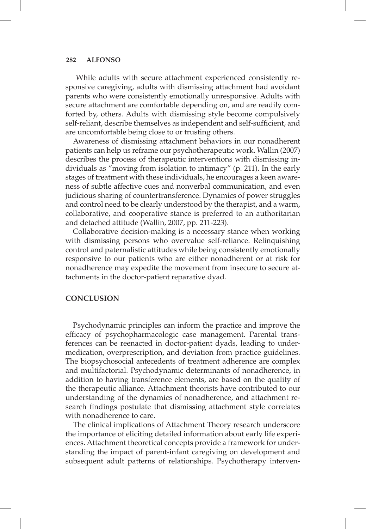While adults with secure attachment experienced consistently responsive caregiving, adults with dismissing attachment had avoidant parents who were consistently emotionally unresponsive. Adults with secure attachment are comfortable depending on, and are readily comforted by, others. Adults with dismissing style become compulsively self-reliant, describe themselves as independent and self-sufficient, and are uncomfortable being close to or trusting others.

Awareness of dismissing attachment behaviors in our nonadherent patients can help us reframe our psychotherapeutic work. Wallin (2007) describes the process of therapeutic interventions with dismissing individuals as "moving from isolation to intimacy" (p. 211). In the early stages of treatment with these individuals, he encourages a keen awareness of subtle affective cues and nonverbal communication, and even judicious sharing of countertransference. Dynamics of power struggles and control need to be clearly understood by the therapist, and a warm, collaborative, and cooperative stance is preferred to an authoritarian and detached attitude (Wallin, 2007, pp. 211-223).

Collaborative decision-making is a necessary stance when working with dismissing persons who overvalue self-reliance. Relinquishing control and paternalistic attitudes while being consistently emotionally responsive to our patients who are either nonadherent or at risk for nonadherence may expedite the movement from insecure to secure attachments in the doctor-patient reparative dyad.

#### **Conclusion**

Psychodynamic principles can inform the practice and improve the efficacy of psychopharmacologic case management. Parental transferences can be reenacted in doctor-patient dyads, leading to undermedication, overprescription, and deviation from practice guidelines. The biopsychosocial antecedents of treatment adherence are complex and multifactorial. Psychodynamic determinants of nonadherence, in addition to having transference elements, are based on the quality of the therapeutic alliance. Attachment theorists have contributed to our understanding of the dynamics of nonadherence, and attachment research findings postulate that dismissing attachment style correlates with nonadherence to care.

The clinical implications of Attachment Theory research underscore the importance of eliciting detailed information about early life experiences. Attachment theoretical concepts provide a framework for understanding the impact of parent-infant caregiving on development and subsequent adult patterns of relationships. Psychotherapy interven-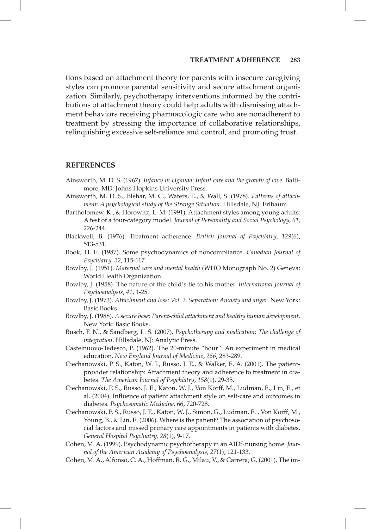#### **TREATMENT ADHERENCE 283**

tions based on attachment theory for parents with insecure caregiving styles can promote parental sensitivity and secure attachment organization. Similarly, psychotherapy interventions informed by the contributions of attachment theory could help adults with dismissing attachment behaviors receiving pharmacologic care who are nonadherent to treatment by stressing the importance of collaborative relationships, relinquishing excessive self-reliance and control, and promoting trust.

### **References**

- Ainsworth, M. D. S. (1967). *Infancy in Uganda: Infant care and the growth of love*. Baltimore, MD: Johns Hopkins University Press.
- Ainsworth, M. D. S., Blehar, M. C., Waters, E., & Wall, S. (1978). *Patterns of attachment: A psychological study of the Strange Situation*. Hillsdale, NJ: Erlbaum.
- Bartholomew, K., & Horowitz, L. M. (1991). Attachment styles among young adults: A test of a four-category model. *Journal of Personality and Social Psychology, 61,* 226-244.
- Blackwell, B. (1976). Treatment adherence. *British Journal of Psychiatry*, *129*(6), 513-531.
- Book, H. E. (1987). Some psychodynamics of noncompliance. *Canadian Journal of Psychiatry, 32,* 115-117.
- Bowlby, J. (1951). *Maternal care and mental health* (WHO Monograph No. 2) Geneva: World Health Organization.
- Bowlby, J. (1958). The nature of the child's tie to his mother. *International Journal of Psychoanalysis*, *41*, 1-25.
- Bowlby, J. (1973). *Attachment and loss: Vol. 2. Separation: Anxiety and anger*. New York: Basic Books.
- Bowlby, J. (1988). *A secure base: Parent-child attachment and healthy human development*. New York: Basic Books.
- Busch, F. N., & Sandberg, L. S. (2007). *Psychotherapy and medication: The challenge of integration*. Hillsdale, NJ: Analytic Press.
- Castelnuovo-Tedesco, P. (1962). The 20-minute "hour": An experiment in medical education. *New England Journal of Medicine*, *266*, 283-289.
- Ciechanowski, P. S., Katon, W. J., Russo, J. E., & Walker, E. A. (2001). The patientprovider relationship: Attachment theory and adherence to treatment in diabetes. *The American Journal of Psychiatry*, *158*(1), 29-35.
- Ciechanowski, P. S., Russo, J. E., Katon, W. J., Von Korff, M., Ludman, E., Lin, E., et al. (2004). Influence of patient attachment style on self-care and outcomes in diabetes. *Psychosomatic Medicine,* 66, 720-728.
- Ciechanowski, P. S., Russo, J. E., Katon, W. J., Simon, G., Ludman, E. , Von Korff, M., Young, B., & Lin, E. (2006). Where is the patient? The association of psychosocial factors and missed primary care appointments in patients with diabetes. *General Hospital Psychiatry, 28*(1), 9-17.
- Cohen, M. A. (1999). Psychodynamic psychotherapy in an AIDS nursing home. *Journal of the American Academy of Psychoanalysis*, *27*(1), 121-133.
- Cohen, M. A., Alfonso, C. A., Hoffman, R. G., Milau, V., & Carrera, G. (2001). The im-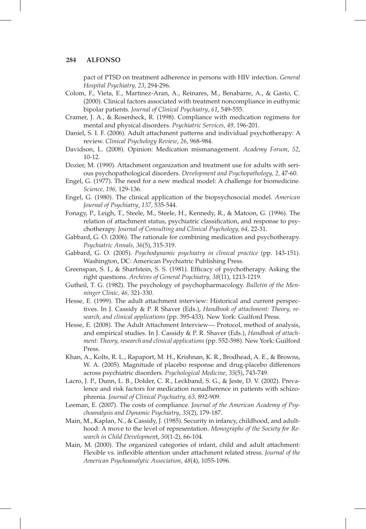pact of PTSD on treatment adherence in persons with HIV infection. *General Hospital Psychiatry, 23*, 294-296.

- Colom, F., Vieta, E., Martinez-Aran, A., Reinares, M., Benabarre, A., & Gasto, C. (2000). Clinical factors associated with treatment noncompliance in euthymic bipolar patients. *Journal of Clinical Psychiatry*, *61*, 549-555.
- Cramer, J. A., & Rosenheck, R. (1998). Compliance with medication regimens for mental and physical disorders. *Psychiatric Services, 49,* 196-201.
- Daniel, S. I. F. (2006). Adult attachment patterns and individual psychotherapy: A review. *Clinical Psychology Review*, *26*, 968-984.
- Davidson, L. (2008). Opinion: Medication mismanagement. *Academy Forum*, *52*, 10-12.
- Dozier, M. (1990). Attachment organization and treatment use for adults with serious psychopathological disorders. *Development and Psychopathology, 2,* 47-60.
- Engel, G. (1977). The need for a new medical model: A challenge for biomedicine. *Science, 196,* 129-136.
- Engel, G. (1980). The clinical application of the biopsychosocial model. *American Journal of Psychiatry*, *137*, 535-544.
- Fonagy, P., Leigh, T., Steele, M., Steele, H., Kennedy, R., & Matoon, G. (1996). The relation of attachment status, psychiatric classification, and response to psychotherapy. *Journal of Consulting and Clinical Psychology, 64,* 22-31.
- Gabbard, G. O. (2006). The rationale for combining medication and psychotherapy. *Psychiatric Annals, 36*(5), 315-319.
- Gabbard, G. O. (2005)*. Psychodynamic psychiatry in clinical practice* (pp. 143-151). Washington, DC: American Psychiatric Publishing Press.
- Greenspan, S. I., & Sharfstein, S. S. (1981). Efficacy of psychotherapy. Asking the right questions. *Archives of General Psychiatry, 38*(11), 1213-1219.
- Gutheil, T. G. (1982). The psychology of psychopharmacology. *Bulletin of the Menninger Clinic, 46,* 321-330.
- Hesse, E. (1999). The adult attachment interview: Historical and current perspectives. In J. Cassidy & P. R Shaver (Eds.), *Handbook of attachment: Theory, research, and clinical applications* (pp. 395-433). New York: Guilford Press.
- Hesse, E. (2008). The Adult Attachment Interview— Protocol, method of analysis, and empirical studies. In J. Cassidy & P. R. Shaver (Eds.), *Handbook of attachment: Theory, research and clinical applications* (pp. 552-598). New York: Guilford Press.
- Khan, A., Kolts, R. L., Rapaport, M. H., Krishnan, K. R., Brodhead, A. E., & Browns, W. A. (2005). Magnitude of placebo response and drug-placebo differences across psychiatric disorders*. Psychological Medicine*, *35*(5), 743-749.
- Lacro, J. P., Dunn, L. B., Dolder, C. R., Leckband, S. G., & Jeste, D. V. (2002). Prevalence and risk factors for medication nonadherence in patients with schizophrenia. *Journal of Clinical Psychiatry, 63,* 892-909.
- Leeman, E. (2007). The costs of compliance. *Journal of the American Academy of Psychoanalysis and Dynamic Psychiatry*, *35*(2), 179-187.
- Main, M., Kaplan, N., & Cassidy, J. (1985). Security in infancy, childhood, and adulthood: A move to the level of representation. *Monographs of the Society for Research in Child Developmen*t, *50*(1-2), 66-104.
- Main, M. (2000). The organized categories of infant, child and adult attachment: Flexible vs. inflexible attention under attachment related stress. *Journal of the American Psychoanalytic Association*, *48*(4), 1055-1096.